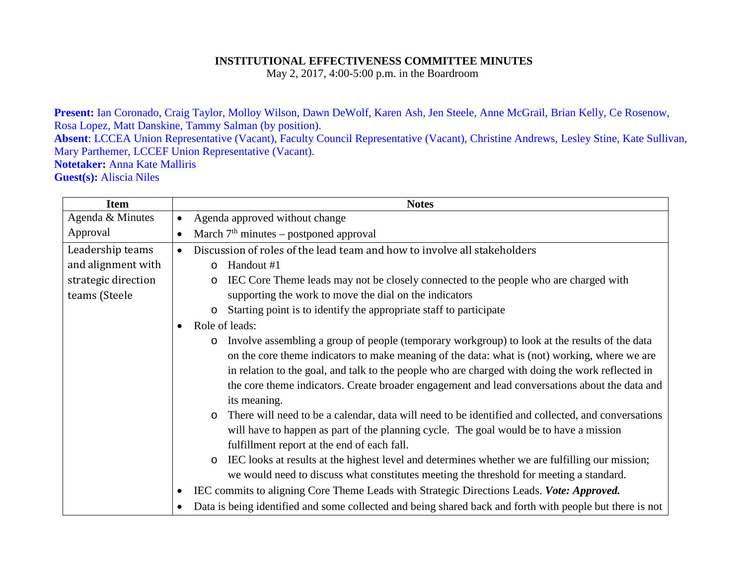## **INSTITUTIONAL EFFECTIVENESS COMMITTEE MINUTES**

May 2, 2017, 4:00-5:00 p.m. in the Boardroom

**Present:** Ian Coronado, Craig Taylor, Molloy Wilson, Dawn DeWolf, Karen Ash, Jen Steele, Anne McGrail, Brian Kelly, Ce Rosenow, Rosa Lopez, Matt Danskine, Tammy Salman (by position). **Absent**: LCCEA Union Representative (Vacant), Faculty Council Representative (Vacant), Christine Andrews, Lesley Stine, Kate Sullivan, Mary Parthemer, LCCEF Union Representative (Vacant). **Notetaker:** Anna Kate Malliris **Guest(s):** Aliscia Niles

| <b>Item</b>         | <b>Notes</b>                                                                                                  |
|---------------------|---------------------------------------------------------------------------------------------------------------|
| Agenda & Minutes    | Agenda approved without change<br>$\bullet$                                                                   |
| Approval            | March $7th$ minutes – postponed approval<br>$\bullet$                                                         |
| Leadership teams    | Discussion of roles of the lead team and how to involve all stakeholders<br>$\bullet$                         |
| and alignment with  | Handout #1<br>$\circ$                                                                                         |
| strategic direction | IEC Core Theme leads may not be closely connected to the people who are charged with<br>$\circ$               |
| teams (Steele       | supporting the work to move the dial on the indicators                                                        |
|                     | Starting point is to identify the appropriate staff to participate                                            |
|                     | Role of leads:<br>$\bullet$                                                                                   |
|                     | Involve assembling a group of people (temporary workgroup) to look at the results of the data<br>$\circ$      |
|                     | on the core theme indicators to make meaning of the data: what is (not) working, where we are                 |
|                     | in relation to the goal, and talk to the people who are charged with doing the work reflected in              |
|                     | the core theme indicators. Create broader engagement and lead conversations about the data and                |
|                     | its meaning.                                                                                                  |
|                     | There will need to be a calendar, data will need to be identified and collected, and conversations<br>$\circ$ |
|                     | will have to happen as part of the planning cycle. The goal would be to have a mission                        |
|                     | fulfillment report at the end of each fall.                                                                   |
|                     | IEC looks at results at the highest level and determines whether we are fulfilling our mission;<br>$\circ$    |
|                     | we would need to discuss what constitutes meeting the threshold for meeting a standard.                       |
|                     | IEC commits to aligning Core Theme Leads with Strategic Directions Leads. Vote: Approved.<br>٠                |
|                     | Data is being identified and some collected and being shared back and forth with people but there is not      |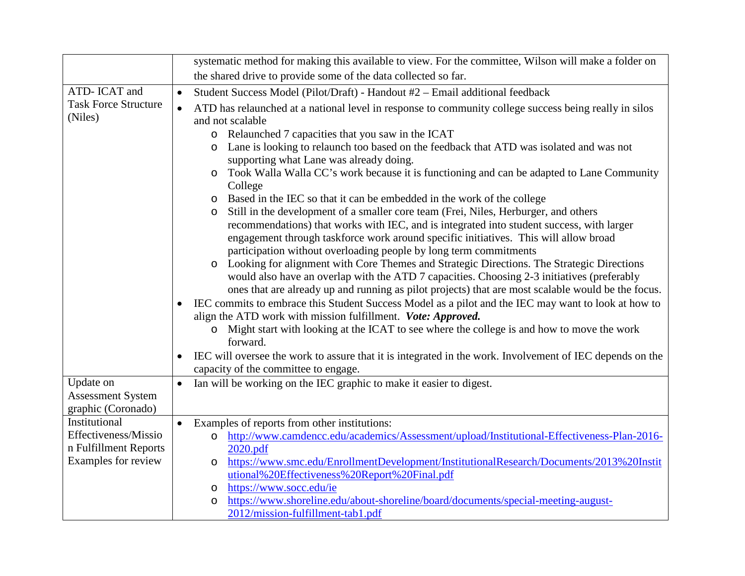|                                        | systematic method for making this available to view. For the committee, Wilson will make a folder on                                                                                                                                                                                                                                                                                                                                                                                                                                                                                                                                                                                                                                                                                                                                                                                                                                                                                                                                                                                                                                                                                                                                                                                                                                                                                                                                                                                                                                                                                                                                                             |
|----------------------------------------|------------------------------------------------------------------------------------------------------------------------------------------------------------------------------------------------------------------------------------------------------------------------------------------------------------------------------------------------------------------------------------------------------------------------------------------------------------------------------------------------------------------------------------------------------------------------------------------------------------------------------------------------------------------------------------------------------------------------------------------------------------------------------------------------------------------------------------------------------------------------------------------------------------------------------------------------------------------------------------------------------------------------------------------------------------------------------------------------------------------------------------------------------------------------------------------------------------------------------------------------------------------------------------------------------------------------------------------------------------------------------------------------------------------------------------------------------------------------------------------------------------------------------------------------------------------------------------------------------------------------------------------------------------------|
|                                        | the shared drive to provide some of the data collected so far.                                                                                                                                                                                                                                                                                                                                                                                                                                                                                                                                                                                                                                                                                                                                                                                                                                                                                                                                                                                                                                                                                                                                                                                                                                                                                                                                                                                                                                                                                                                                                                                                   |
| ATD- ICAT and                          | Student Success Model (Pilot/Draft) - Handout #2 - Email additional feedback<br>$\bullet$                                                                                                                                                                                                                                                                                                                                                                                                                                                                                                                                                                                                                                                                                                                                                                                                                                                                                                                                                                                                                                                                                                                                                                                                                                                                                                                                                                                                                                                                                                                                                                        |
| <b>Task Force Structure</b><br>(Niles) | $\bullet$<br>ATD has relaunched at a national level in response to community college success being really in silos<br>and not scalable<br>Relaunched 7 capacities that you saw in the ICAT<br>$\circ$<br>Lane is looking to relaunch too based on the feedback that ATD was isolated and was not<br>$\circ$<br>supporting what Lane was already doing.<br>Took Walla Walla CC's work because it is functioning and can be adapted to Lane Community<br>O<br>College<br>Based in the IEC so that it can be embedded in the work of the college<br>O<br>Still in the development of a smaller core team (Frei, Niles, Herburger, and others<br>$\circ$<br>recommendations) that works with IEC, and is integrated into student success, with larger<br>engagement through taskforce work around specific initiatives. This will allow broad<br>participation without overloading people by long term commitments<br>Looking for alignment with Core Themes and Strategic Directions. The Strategic Directions<br>$\circ$<br>would also have an overlap with the ATD 7 capacities. Choosing 2-3 initiatives (preferably<br>ones that are already up and running as pilot projects) that are most scalable would be the focus.<br>IEC commits to embrace this Student Success Model as a pilot and the IEC may want to look at how to<br>align the ATD work with mission fulfillment. Vote: Approved.<br>o Might start with looking at the ICAT to see where the college is and how to move the work<br>forward.<br>IEC will oversee the work to assure that it is integrated in the work. Involvement of IEC depends on the<br>capacity of the committee to engage. |
| Update on                              | Ian will be working on the IEC graphic to make it easier to digest.<br>$\bullet$                                                                                                                                                                                                                                                                                                                                                                                                                                                                                                                                                                                                                                                                                                                                                                                                                                                                                                                                                                                                                                                                                                                                                                                                                                                                                                                                                                                                                                                                                                                                                                                 |
| <b>Assessment System</b>               |                                                                                                                                                                                                                                                                                                                                                                                                                                                                                                                                                                                                                                                                                                                                                                                                                                                                                                                                                                                                                                                                                                                                                                                                                                                                                                                                                                                                                                                                                                                                                                                                                                                                  |
| graphic (Coronado)                     |                                                                                                                                                                                                                                                                                                                                                                                                                                                                                                                                                                                                                                                                                                                                                                                                                                                                                                                                                                                                                                                                                                                                                                                                                                                                                                                                                                                                                                                                                                                                                                                                                                                                  |
| Institutional<br>Effectiveness/Missio  | Examples of reports from other institutions:<br>$\bullet$                                                                                                                                                                                                                                                                                                                                                                                                                                                                                                                                                                                                                                                                                                                                                                                                                                                                                                                                                                                                                                                                                                                                                                                                                                                                                                                                                                                                                                                                                                                                                                                                        |
| n Fulfillment Reports                  | http://www.camdencc.edu/academics/Assessment/upload/Institutional-Effectiveness-Plan-2016-<br>$\circ$<br>2020.pdf                                                                                                                                                                                                                                                                                                                                                                                                                                                                                                                                                                                                                                                                                                                                                                                                                                                                                                                                                                                                                                                                                                                                                                                                                                                                                                                                                                                                                                                                                                                                                |
| Examples for review                    | https://www.smc.edu/EnrollmentDevelopment/InstitutionalResearch/Documents/2013%20Instit<br>O                                                                                                                                                                                                                                                                                                                                                                                                                                                                                                                                                                                                                                                                                                                                                                                                                                                                                                                                                                                                                                                                                                                                                                                                                                                                                                                                                                                                                                                                                                                                                                     |
|                                        | utional%20Effectiveness%20Report%20Final.pdf                                                                                                                                                                                                                                                                                                                                                                                                                                                                                                                                                                                                                                                                                                                                                                                                                                                                                                                                                                                                                                                                                                                                                                                                                                                                                                                                                                                                                                                                                                                                                                                                                     |
|                                        | https://www.socc.edu/ie<br>O                                                                                                                                                                                                                                                                                                                                                                                                                                                                                                                                                                                                                                                                                                                                                                                                                                                                                                                                                                                                                                                                                                                                                                                                                                                                                                                                                                                                                                                                                                                                                                                                                                     |
|                                        | https://www.shoreline.edu/about-shoreline/board/documents/special-meeting-august-<br>$\circ$                                                                                                                                                                                                                                                                                                                                                                                                                                                                                                                                                                                                                                                                                                                                                                                                                                                                                                                                                                                                                                                                                                                                                                                                                                                                                                                                                                                                                                                                                                                                                                     |
|                                        | 2012/mission-fulfillment-tab1.pdf                                                                                                                                                                                                                                                                                                                                                                                                                                                                                                                                                                                                                                                                                                                                                                                                                                                                                                                                                                                                                                                                                                                                                                                                                                                                                                                                                                                                                                                                                                                                                                                                                                |